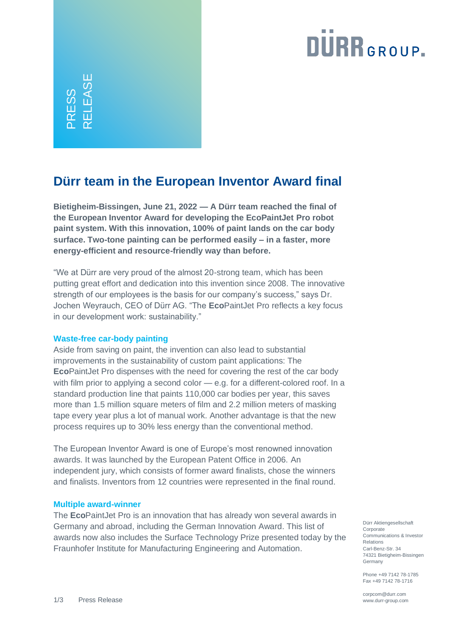# **DURR**GROUP.

ESS<br>I FAS RELEASE

### **Dürr team in the European Inventor Award final**

**Bietigheim-Bissingen, June 21, 2022 — A Dürr team reached the final of the European Inventor Award for developing the EcoPaintJet Pro robot paint system. With this innovation, 100% of paint lands on the car body surface. Two-tone painting can be performed easily – in a faster, more energy-efficient and resource-friendly way than before.**

"We at Dürr are very proud of the almost 20-strong team, which has been putting great effort and dedication into this invention since 2008. The innovative strength of our employees is the basis for our company's success," says Dr. Jochen Weyrauch, CEO of Dürr AG. "The **Eco**PaintJet Pro reflects a key focus in our development work: sustainability."

### **Waste-free car-body painting**

Aside from saving on paint, the invention can also lead to substantial improvements in the sustainability of custom paint applications: The **Eco**PaintJet Pro dispenses with the need for covering the rest of the car body with film prior to applying a second color — e.g. for a different-colored roof. In a standard production line that paints 110,000 car bodies per year, this saves more than 1.5 million square meters of film and 2.2 million meters of masking tape every year plus a lot of manual work. Another advantage is that the new process requires up to 30% less energy than the conventional method.

The European Inventor Award is one of Europe's most renowned innovation awards. It was launched by the European Patent Office in 2006. An independent jury, which consists of former award finalists, chose the winners and finalists. Inventors from 12 countries were represented in the final round.

#### **Multiple award-winner**

The **Eco**PaintJet Pro is an innovation that has already won several awards in Germany and abroad, including the German Innovation Award. This list of awards now also includes the Surface Technology Prize presented today by the Fraunhofer Institute for Manufacturing Engineering and Automation.

Dürr Aktiengesellschaft Corporate Communications & Investor Relations Carl-Benz-Str. 34 74321 Bietigheim-Bissingen Germany

Phone +49 7142 78-1785 Fax +49 7142 78-1716

corpcom@durr.com www.durr-group.com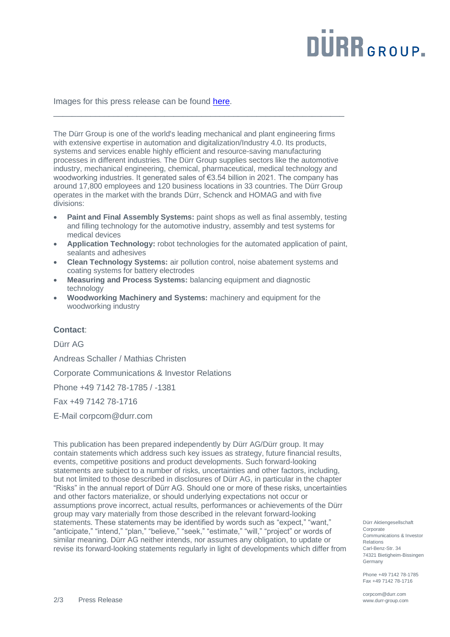# **DURR**GROUP.

Images for this press release can be found [here.](https://www.durr-group.com/en/media/news/news-detail/view/duerr-team-in-the-european-inventor-award-final-85626)

The Dürr Group is one of the world's leading mechanical and plant engineering firms with extensive expertise in automation and digitalization/Industry 4.0. Its products, systems and services enable highly efficient and resource-saving manufacturing processes in different industries. The Dürr Group supplies sectors like the automotive industry, mechanical engineering, chemical, pharmaceutical, medical technology and woodworking industries. It generated sales of €3.54 billion in 2021. The company has around 17,800 employees and 120 business locations in 33 countries. The Dürr Group operates in the market with the brands Dürr, Schenck and HOMAG and with five divisions:

\_\_\_\_\_\_\_\_\_\_\_\_\_\_\_\_\_\_\_\_\_\_\_\_\_\_\_\_\_\_\_\_\_\_\_\_\_\_\_\_\_\_\_\_\_\_\_\_\_\_\_\_\_\_\_\_\_\_\_\_\_\_\_

- **Paint and Final Assembly Systems:** paint shops as well as final assembly, testing and filling technology for the automotive industry, assembly and test systems for medical devices
- **Application Technology:** robot technologies for the automated application of paint, sealants and adhesives
- **Clean Technology Systems:** air pollution control, noise abatement systems and coating systems for battery electrodes
- **Measuring and Process Systems:** balancing equipment and diagnostic technology
- **Woodworking Machinery and Systems:** machinery and equipment for the woodworking industry

#### **Contact**:

Dürr AG

Andreas Schaller / Mathias Christen

Corporate Communications & Investor Relations

Phone +49 7142 78-1785 / -1381

Fax +49 7142 78-1716

E-Mail [corpcom@durr.com](mailto:corpcom@durr.com)

This publication has been prepared independently by Dürr AG/Dürr group. It may contain statements which address such key issues as strategy, future financial results, events, competitive positions and product developments. Such forward-looking statements are subject to a number of risks, uncertainties and other factors, including, but not limited to those described in disclosures of Dürr AG, in particular in the chapter "Risks" in the annual report of Dürr AG. Should one or more of these risks, uncertainties and other factors materialize, or should underlying expectations not occur or assumptions prove incorrect, actual results, performances or achievements of the Dürr group may vary materially from those described in the relevant forward-looking statements. These statements may be identified by words such as "expect," "want," "anticipate," "intend," "plan," "believe," "seek," "estimate," "will," "project" or words of similar meaning. Dürr AG neither intends, nor assumes any obligation, to update or revise its forward-looking statements regularly in light of developments which differ from

Dürr Aktiengesellschaft Corporate Communications & Investor Relations Carl-Benz-Str. 34 74321 Bietigheim-Bissingen Germany

Phone +49 7142 78-1785 Fax +49 7142 78-1716

corpcom@durr.com www.durr-group.com